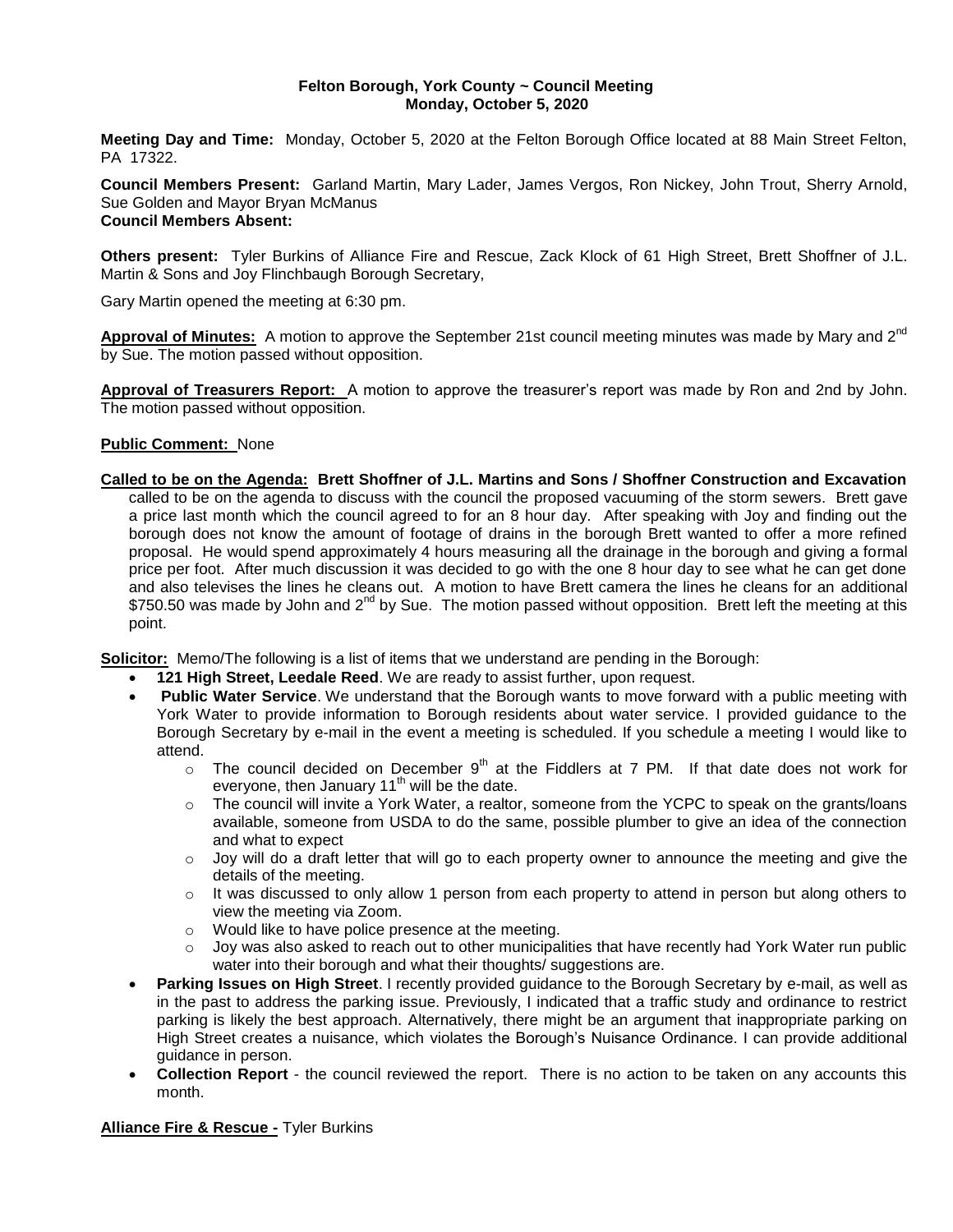### **Felton Borough, York County ~ Council Meeting Monday, October 5, 2020**

**Meeting Day and Time:** Monday, October 5, 2020 at the Felton Borough Office located at 88 Main Street Felton, PA 17322.

**Council Members Present:** Garland Martin, Mary Lader, James Vergos, Ron Nickey, John Trout, Sherry Arnold, Sue Golden and Mayor Bryan McManus **Council Members Absent:**

**Others present:** Tyler Burkins of Alliance Fire and Rescue, Zack Klock of 61 High Street, Brett Shoffner of J.L. Martin & Sons and Joy Flinchbaugh Borough Secretary,

Gary Martin opened the meeting at 6:30 pm.

**Approval of Minutes:** A motion to approve the September 21st council meeting minutes was made by Mary and 2nd by Sue. The motion passed without opposition.

**Approval of Treasurers Report:** A motion to approve the treasurer's report was made by Ron and 2nd by John. The motion passed without opposition.

## **Public Comment:** None

**Called to be on the Agenda: Brett Shoffner of J.L. Martins and Sons / Shoffner Construction and Excavation**  called to be on the agenda to discuss with the council the proposed vacuuming of the storm sewers. Brett gave a price last month which the council agreed to for an 8 hour day. After speaking with Joy and finding out the borough does not know the amount of footage of drains in the borough Brett wanted to offer a more refined proposal. He would spend approximately 4 hours measuring all the drainage in the borough and giving a formal price per foot. After much discussion it was decided to go with the one 8 hour day to see what he can get done and also televises the lines he cleans out. A motion to have Brett camera the lines he cleans for an additional \$750.50 was made by John and  $2^{nd}$  by Sue. The motion passed without opposition. Brett left the meeting at this point.

**Solicitor:** Memo/The following is a list of items that we understand are pending in the Borough:

- **121 High Street, Leedale Reed**. We are ready to assist further, upon request.
- **Public Water Service**. We understand that the Borough wants to move forward with a public meeting with York Water to provide information to Borough residents about water service. I provided guidance to the Borough Secretary by e-mail in the event a meeting is scheduled. If you schedule a meeting I would like to attend.
	- $\circ$  The council decided on December 9<sup>th</sup> at the Fiddlers at 7 PM. If that date does not work for everyone, then January  $11<sup>th</sup>$  will be the date.
	- o The council will invite a York Water, a realtor, someone from the YCPC to speak on the grants/loans available, someone from USDA to do the same, possible plumber to give an idea of the connection and what to expect
	- $\circ$  Joy will do a draft letter that will go to each property owner to announce the meeting and give the details of the meeting.
	- $\circ$  It was discussed to only allow 1 person from each property to attend in person but along others to view the meeting via Zoom.
	- o Would like to have police presence at the meeting.
	- Joy was also asked to reach out to other municipalities that have recently had York Water run public water into their borough and what their thoughts/ suggestions are.
- **Parking Issues on High Street**. I recently provided guidance to the Borough Secretary by e-mail, as well as in the past to address the parking issue. Previously, I indicated that a traffic study and ordinance to restrict parking is likely the best approach. Alternatively, there might be an argument that inappropriate parking on High Street creates a nuisance, which violates the Borough's Nuisance Ordinance. I can provide additional guidance in person.
- **Collection Report** the council reviewed the report. There is no action to be taken on any accounts this month.

### **Alliance Fire & Rescue -** Tyler Burkins